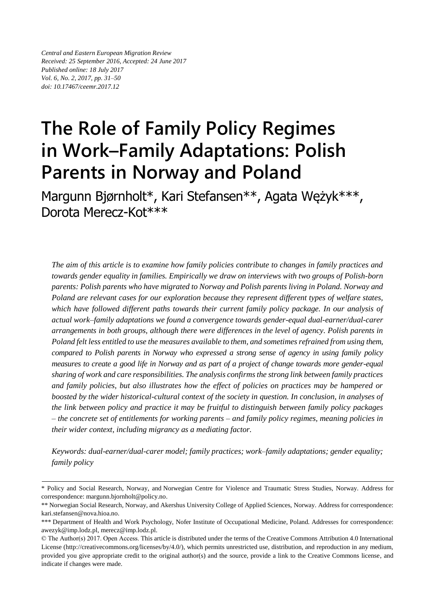*Central and Eastern European Migration Review Received: 25 September 2016, Accepted: 24 June 2017 Published online: 18 July 2017 Vol. 6, No. 2, 2017, pp. 31–50 doi: 10.17467/ceemr.2017.12*

# **The Role of Family Policy Regimes in Work–Family Adaptations: Polish Parents in Norway and Poland**

Margunn Bjørnholt\*, Kari Stefansen\*\*, Agata Wężyk\*\*\*, Dorota Merecz-Kot\*\*\*

*The aim of this article is to examine how family policies contribute to changes in family practices and towards gender equality in families. Empirically we draw on interviews with two groups of Polish-born parents: Polish parents who have migrated to Norway and Polish parents living in Poland. Norway and Poland are relevant cases for our exploration because they represent different types of welfare states, which have followed different paths towards their current family policy package. In our analysis of actual work–family adaptations we found a convergence towards gender-equal dual-earner/dual-carer arrangements in both groups, although there were differences in the level of agency. Polish parents in Poland felt less entitled to use the measures available to them, and sometimes refrained from using them, compared to Polish parents in Norway who expressed a strong sense of agency in using family policy measures to create a good life in Norway and as part of a project of change towards more gender-equal sharing of work and care responsibilities. The analysis confirms the strong link between family practices and family policies, but also illustrates how the effect of policies on practices may be hampered or boosted by the wider historical-cultural context of the society in question. In conclusion, in analyses of the link between policy and practice it may be fruitful to distinguish between family policy packages – the concrete set of entitlements for working parents – and family policy regimes, meaning policies in their wider context, including migrancy as a mediating factor.*

*Keywords: dual-earner/dual-carer model; family practices; work–family adaptations; gender equality; family policy*

<sup>\*</sup> Policy and Social Research, Norway, and Norwegian Centre for Violence and Traumatic Stress Studies, Norway. Address for correspondence: [margunn.bjornholt@policy.no.](mailto:margunn.bjornholt@policy.no)

<sup>\*\*</sup> Norwegian Social Research, Norway, and Akershus University College of Applied Sciences, Norway. Address for correspondence: [kari.stefansen@nova.hioa.no.](mailto:kari.stefansen@nova.hioa.no)

<sup>\*\*\*</sup> Department of Health and Work Psychology, Nofer Institute of Occupational Medicine, Poland. Addresses for correspondence: [awezyk@imp.lodz.pl,](mailto:awezyk@imp.lodz.pl) [merecz@imp.lodz.pl.](mailto:merecz@imp.lodz.pl)

<sup>©</sup> The Author(s) 2017. Open Access. This article is distributed under the terms of the Creative Commons Attribution 4.0 International License [\(http://creativecommons.org/licenses/by/4.0/\)](http://creativecommons.org/licenses/by/4.0/), which permits unrestricted use, distribution, and reproduction in any medium, provided you give appropriate credit to the original author(s) and the source, provide a link to the Creative Commons license, and indicate if changes were made.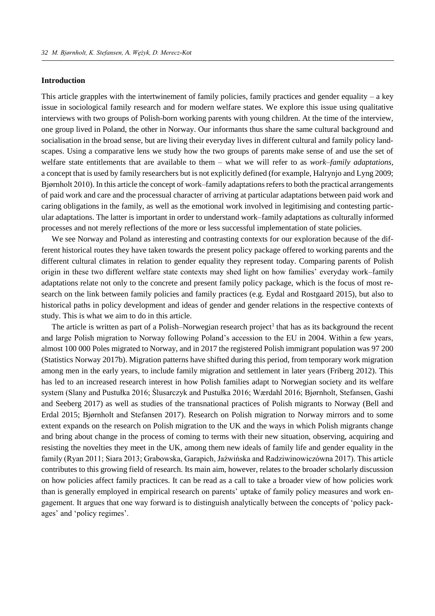## **Introduction**

This article grapples with the intertwinement of family policies, family practices and gender equality – a key issue in sociological family research and for modern welfare states. We explore this issue using qualitative interviews with two groups of Polish-born working parents with young children. At the time of the interview, one group lived in Poland, the other in Norway. Our informants thus share the same cultural background and socialisation in the broad sense, but are living their everyday lives in different cultural and family policy landscapes. Using a comparative lens we study how the two groups of parents make sense of and use the set of welfare state entitlements that are available to them – what we will refer to as *work–family adaptations,*  a concept that is used by family researchers but is not explicitly defined (for example, Halrynjo and Lyng 2009; Bjørnholt 2010). In this article the concept of work–family adaptations refers to both the practical arrangements of paid work and care and the processual character of arriving at particular adaptations between paid work and caring obligations in the family, as well as the emotional work involved in legitimising and contesting particular adaptations. The latter is important in order to understand work–family adaptations as culturally informed processes and not merely reflections of the more or less successful implementation of state policies.

We see Norway and Poland as interesting and contrasting contexts for our exploration because of the different historical routes they have taken towards the present policy package offered to working parents and the different cultural climates in relation to gender equality they represent today. Comparing parents of Polish origin in these two different welfare state contexts may shed light on how families' everyday work–family adaptations relate not only to the concrete and present family policy package, which is the focus of most research on the link between family policies and family practices (e.g. Eydal and Rostgaard 2015), but also to historical paths in policy development and ideas of gender and gender relations in the respective contexts of study. This is what we aim to do in this article.

The article is written as part of a Polish–Norwegian research project<sup>1</sup> that has as its background the recent and large Polish migration to Norway following Poland's accession to the EU in 2004. Within a few years, almost 100 000 Poles migrated to Norway, and in 2017 the registered Polish immigrant population was 97 200 (Statistics Norway 2017b). Migration patterns have shifted during this period, from temporary work migration among men in the early years, to include family migration and settlement in later years (Friberg 2012). This has led to an increased research interest in how Polish families adapt to Norwegian society and its welfare system (Slany and Pustułka 2016; Ślusarczyk and Pustułka 2016; Wærdahl 2016; Bjørnholt, Stefansen, Gashi and Seeberg 2017) as well as studies of the transnational practices of Polish migrants to Norway (Bell and Erdal 2015; Bjørnholt and Stefansen 2017). Research on Polish migration to Norway mirrors and to some extent expands on the research on Polish migration to the UK and the ways in which Polish migrants change and bring about change in the process of coming to terms with their new situation, observing, acquiring and resisting the novelties they meet in the UK, among them new ideals of family life and gender equality in the family (Ryan 2011; Siara 2013; Grabowska, Garapich, Jaźwińska and Radziwinowiczówna 2017). This article contributes to this growing field of research. Its main aim, however, relates to the broader scholarly discussion on how policies affect family practices. It can be read as a call to take a broader view of how policies work than is generally employed in empirical research on parents' uptake of family policy measures and work engagement. It argues that one way forward is to distinguish analytically between the concepts of 'policy packages' and 'policy regimes'.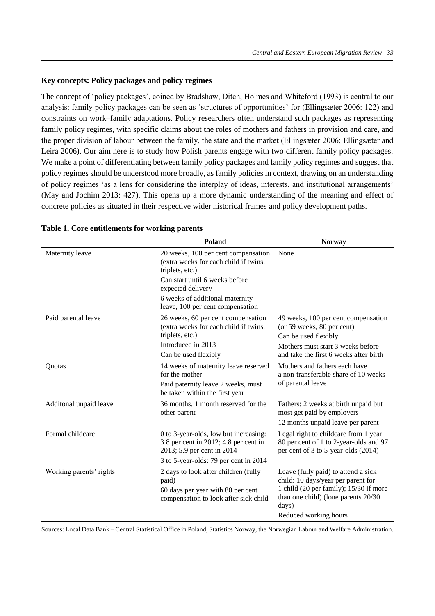# **Key concepts: Policy packages and policy regimes**

The concept of 'policy packages', coined by Bradshaw, Ditch, Holmes and Whiteford (1993) is central to our analysis: family policy packages can be seen as 'structures of opportunities' for (Ellingsæter 2006: 122) and constraints on work–family adaptations. Policy researchers often understand such packages as representing family policy regimes, with specific claims about the roles of mothers and fathers in provision and care, and the proper division of labour between the family, the state and the market (Ellingsæter 2006; Ellingsæter and Leira 2006). Our aim here is to study how Polish parents engage with two different family policy packages. We make a point of differentiating between family policy packages and family policy regimes and suggest that policy regimes should be understood more broadly, as family policies in context, drawing on an understanding of policy regimes 'as a lens for considering the interplay of ideas, interests, and institutional arrangements' (May and Jochim 2013: 427). This opens up a more dynamic understanding of the meaning and effect of concrete policies as situated in their respective wider historical frames and policy development paths.

|                         | Poland                                                                                                                                       |                                                                                                                                                                                              |
|-------------------------|----------------------------------------------------------------------------------------------------------------------------------------------|----------------------------------------------------------------------------------------------------------------------------------------------------------------------------------------------|
| Maternity leave         | 20 weeks, 100 per cent compensation<br>(extra weeks for each child if twins,<br>triplets, etc.)                                              | None                                                                                                                                                                                         |
|                         | Can start until 6 weeks before<br>expected delivery                                                                                          |                                                                                                                                                                                              |
|                         | 6 weeks of additional maternity<br>leave, 100 per cent compensation                                                                          |                                                                                                                                                                                              |
| Paid parental leave     | 26 weeks, 60 per cent compensation<br>(extra weeks for each child if twins,<br>triplets, etc.)<br>Introduced in 2013<br>Can be used flexibly | 49 weeks, 100 per cent compensation<br>(or 59 weeks, 80 per cent)<br>Can be used flexibly<br>Mothers must start 3 weeks before<br>and take the first 6 weeks after birth                     |
| Quotas                  | 14 weeks of maternity leave reserved<br>for the mother<br>Paid paternity leave 2 weeks, must<br>be taken within the first year               | Mothers and fathers each have<br>a non-transferable share of 10 weeks<br>of parental leave                                                                                                   |
| Additonal unpaid leave  | 36 months, 1 month reserved for the<br>other parent                                                                                          | Fathers: 2 weeks at birth unpaid but<br>most get paid by employers<br>12 months unpaid leave per parent                                                                                      |
| Formal childcare        | 0 to 3-year-olds, low but increasing:<br>3.8 per cent in 2012; 4.8 per cent in<br>2013; 5.9 per cent in 2014                                 | Legal right to childcare from 1 year.<br>80 per cent of 1 to 2-year-olds and 97<br>per cent of 3 to 5-year-olds (2014)                                                                       |
|                         | 3 to 5-year-olds: 79 per cent in 2014                                                                                                        |                                                                                                                                                                                              |
| Working parents' rights | 2 days to look after children (fully<br>paid)<br>60 days per year with 80 per cent<br>compensation to look after sick child                  | Leave (fully paid) to attend a sick<br>child: 10 days/year per parent for<br>1 child (20 per family); 15/30 if more<br>than one child) (lone parents 20/30<br>days)<br>Reduced working hours |

#### **Table 1. Core entitlements for working parents**

Sources: Local Data Bank – Central Statistical Office in Poland, Statistics Norway, the Norwegian Labour and Welfare Administration.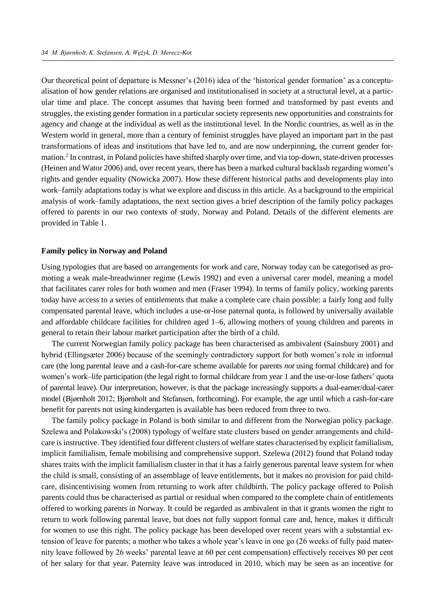Our theoretical point of departure is Messner's (2016) idea of the 'historical gender formation' as a conceptualisation of how gender relations are organised and institutionalised in society at a structural level, at a particular time and place. The concept assumes that having been formed and transformed by past events and struggles, the existing gender formation in a particular society represents new opportunities and constraints for agency and change at the individual as well as the institutional level. In the Nordic countries, as well as in the Western world in general, more than a century of feminist struggles have played an important part in the past transformations of ideas and institutions that have led to, and are now underpinning, the current gender formation.<sup>2</sup> In contrast, in Poland policies have shifted sharply over time, and via top-down, state-driven processes (Heinen and Wator 2006) and, over recent years, there has been a marked cultural backlash regarding women's rights and gender equality (Nowicka 2007). How these different historical paths and developments play into work–family adaptations today is what we explore and discuss in this article. As a background to the empirical analysis of work–family adaptations, the next section gives a brief description of the family policy packages offered to parents in our two contexts of study, Norway and Poland. Details of the different elements are provided in Table 1.

#### **Family policy in Norway and Poland**

Using typologies that are based on arrangements for work and care, Norway today can be categorised as promoting a weak male-breadwinner regime (Lewis 1992) and even a universal carer model, meaning a model that facilitates carer roles for both women and men (Fraser 1994). In terms of family policy, working parents today have access to a series of entitlements that make a complete care chain possible: a fairly long and fully compensated parental leave, which includes a use-or-lose paternal quota, is followed by universally available and affordable childcare facilities for children aged 1–6, allowing mothers of young children and parents in general to retain their labour market participation after the birth of a child.

The current Norwegian family policy package has been characterised as ambivalent (Sainsbury 2001) and hybrid (Ellingsæter 2006) because of the seemingly contradictory support for both women's role in informal care (the long parental leave and a cash-for-care scheme available for parents *not* using formal childcare) and for women's work–life participation (the legal right to formal childcare from year 1 and the use-or-lose fathers' quota of parental leave). Our interpretation, however, is that the package increasingly supports a dual-earner/dual-carer model (Bjørnholt 2012; Bjørnholt and Stefansen, forthcoming). For example, the age until which a cash-for-care benefit for parents not using kindergarten is available has been reduced from three to two.

The family policy package in Poland is both similar to and different from the Norwegian policy package. Szelewa and Polakowski's (2008) typology of welfare state clusters based on gender arrangements and childcare is instructive. They identified four different clusters of welfare states characterised by explicit familialism, implicit familialism, female mobilising and comprehensive support. Szelewa (2012) found that Poland today shares traits with the implicit familialism cluster in that it has a fairly generous parental leave system for when the child is small, consisting of an assemblage of leave entitlements, but it makes no provision for paid childcare, disincentivising women from returning to work after childbirth. The policy package offered to Polish parents could thus be characterised as partial or residual when compared to the complete chain of entitlements offered to working parents in Norway. It could be regarded as ambivalent in that it grants women the right to return to work following parental leave, but does not fully support formal care and, hence, makes it difficult for women to use this right. The policy package has been developed over recent years with a substantial extension of leave for parents; a mother who takes a whole year's leave in one go (26 weeks of fully paid maternity leave followed by 26 weeks' parental leave at 60 per cent compensation) effectively receives 80 per cent of her salary for that year. Paternity leave was introduced in 2010, which may be seen as an incentive for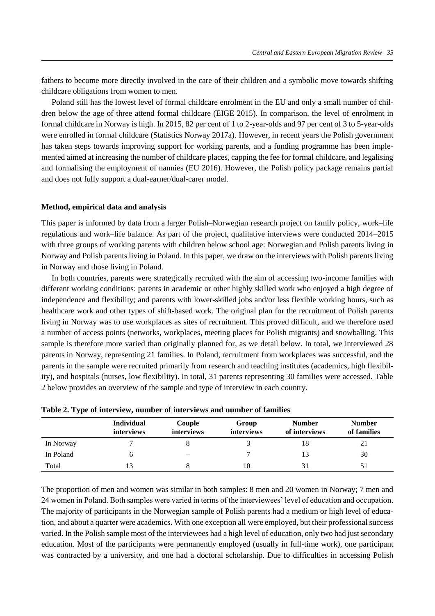fathers to become more directly involved in the care of their children and a symbolic move towards shifting childcare obligations from women to men.

Poland still has the lowest level of formal childcare enrolment in the EU and only a small number of children below the age of three attend formal childcare (EIGE 2015). In comparison, the level of enrolment in formal childcare in Norway is high. In 2015, 82 per cent of 1 to 2-year-olds and 97 per cent of 3 to 5-year-olds were enrolled in formal childcare (Statistics Norway 2017a). However, in recent years the Polish government has taken steps towards improving support for working parents, and a funding programme has been implemented aimed at increasing the number of childcare places, capping the fee for formal childcare, and legalising and formalising the employment of nannies (EU 2016). However, the Polish policy package remains partial and does not fully support a dual-earner/dual-carer model.

#### **Method, empirical data and analysis**

This paper is informed by data from a larger Polish–Norwegian research project on family policy, work–life regulations and work–life balance. As part of the project, qualitative interviews were conducted 2014–2015 with three groups of working parents with children below school age: Norwegian and Polish parents living in Norway and Polish parents living in Poland. In this paper, we draw on the interviews with Polish parents living in Norway and those living in Poland.

In both countries, parents were strategically recruited with the aim of accessing two-income families with different working conditions: parents in academic or other highly skilled work who enjoyed a high degree of independence and flexibility; and parents with lower-skilled jobs and/or less flexible working hours, such as healthcare work and other types of shift-based work. The original plan for the recruitment of Polish parents living in Norway was to use workplaces as sites of recruitment. This proved difficult, and we therefore used a number of access points (networks, workplaces, meeting places for Polish migrants) and snowballing. This sample is therefore more varied than originally planned for, as we detail below. In total, we interviewed 28 parents in Norway, representing 21 families. In Poland, recruitment from workplaces was successful, and the parents in the sample were recruited primarily from research and teaching institutes (academics, high flexibility), and hospitals (nurses, low flexibility). In total, 31 parents representing 30 families were accessed. Table 2 below provides an overview of the sample and type of interview in each country.

|           | <b>Individual</b><br>interviews | Couple<br>interviews     | Group<br>interviews | <b>Number</b><br>of interviews | <b>Number</b><br>of families |
|-----------|---------------------------------|--------------------------|---------------------|--------------------------------|------------------------------|
| In Norway |                                 |                          |                     | 18                             | 21                           |
| In Poland |                                 | $\overline{\phantom{0}}$ |                     | 13                             | 30                           |
| Total     |                                 |                          | $\bar{1}$ ()        | 31                             |                              |

|  |  |  | Table 2. Type of interview, number of interviews and number of families |
|--|--|--|-------------------------------------------------------------------------|
|  |  |  |                                                                         |

The proportion of men and women was similar in both samples: 8 men and 20 women in Norway; 7 men and 24 women in Poland. Both samples were varied in terms of the interviewees' level of education and occupation. The majority of participants in the Norwegian sample of Polish parents had a medium or high level of education, and about a quarter were academics. With one exception all were employed, but their professional success varied. In the Polish sample most of the interviewees had a high level of education, only two had just secondary education. Most of the participants were permanently employed (usually in full-time work), one participant was contracted by a university, and one had a doctoral scholarship. Due to difficulties in accessing Polish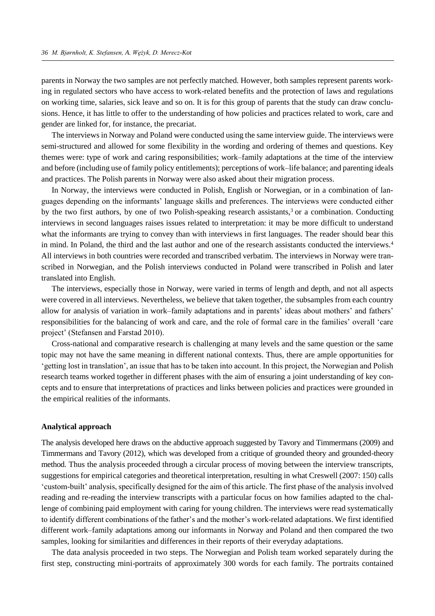parents in Norway the two samples are not perfectly matched. However, both samples represent parents working in regulated sectors who have access to work-related benefits and the protection of laws and regulations on working time, salaries, sick leave and so on. It is for this group of parents that the study can draw conclusions. Hence, it has little to offer to the understanding of how policies and practices related to work, care and gender are linked for, for instance, the precariat.

The interviews in Norway and Poland were conducted using the same interview guide. The interviews were semi-structured and allowed for some flexibility in the wording and ordering of themes and questions. Key themes were: type of work and caring responsibilities; work–family adaptations at the time of the interview and before (including use of family policy entitlements); perceptions of work–life balance; and parenting ideals and practices. The Polish parents in Norway were also asked about their migration process.

In Norway, the interviews were conducted in Polish, English or Norwegian, or in a combination of languages depending on the informants' language skills and preferences. The interviews were conducted either by the two first authors, by one of two Polish-speaking research assistants,<sup>3</sup> or a combination. Conducting interviews in second languages raises issues related to interpretation: it may be more difficult to understand what the informants are trying to convey than with interviews in first languages. The reader should bear this in mind. In Poland, the third and the last author and one of the research assistants conducted the interviews.<sup>4</sup> All interviews in both countries were recorded and transcribed verbatim. The interviews in Norway were transcribed in Norwegian, and the Polish interviews conducted in Poland were transcribed in Polish and later translated into English.

The interviews, especially those in Norway, were varied in terms of length and depth, and not all aspects were covered in all interviews. Nevertheless, we believe that taken together, the subsamples from each country allow for analysis of variation in work–family adaptations and in parents' ideas about mothers' and fathers' responsibilities for the balancing of work and care, and the role of formal care in the families' overall 'care project' (Stefansen and Farstad 2010).

Cross-national and comparative research is challenging at many levels and the same question or the same topic may not have the same meaning in different national contexts. Thus, there are ample opportunities for 'getting lost in translation', an issue that has to be taken into account. In this project, the Norwegian and Polish research teams worked together in different phases with the aim of ensuring a joint understanding of key concepts and to ensure that interpretations of practices and links between policies and practices were grounded in the empirical realities of the informants.

# **Analytical approach**

The analysis developed here draws on the abductive approach suggested by Tavory and Timmermans (2009) and Timmermans and Tavory (2012), which was developed from a critique of grounded theory and grounded-theory method. Thus the analysis proceeded through a circular process of moving between the interview transcripts, suggestions for empirical categories and theoretical interpretation, resulting in what Creswell (2007: 150) calls 'custom-built' analysis, specifically designed for the aim of this article. The first phase of the analysis involved reading and re-reading the interview transcripts with a particular focus on how families adapted to the challenge of combining paid employment with caring for young children. The interviews were read systematically to identify different combinations of the father's and the mother's work-related adaptations. We first identified different work–family adaptations among our informants in Norway and Poland and then compared the two samples, looking for similarities and differences in their reports of their everyday adaptations.

The data analysis proceeded in two steps. The Norwegian and Polish team worked separately during the first step, constructing mini-portraits of approximately 300 words for each family. The portraits contained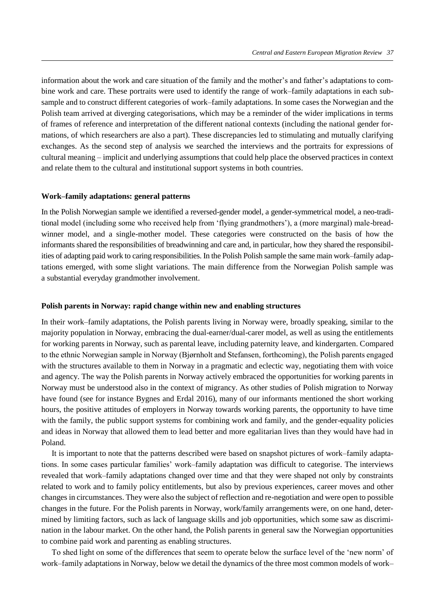information about the work and care situation of the family and the mother's and father's adaptations to combine work and care. These portraits were used to identify the range of work–family adaptations in each subsample and to construct different categories of work–family adaptations. In some cases the Norwegian and the Polish team arrived at diverging categorisations, which may be a reminder of the wider implications in terms of frames of reference and interpretation of the different national contexts (including the national gender formations, of which researchers are also a part). These discrepancies led to stimulating and mutually clarifying exchanges. As the second step of analysis we searched the interviews and the portraits for expressions of cultural meaning – implicit and underlying assumptions that could help place the observed practices in context and relate them to the cultural and institutional support systems in both countries.

## **Work–family adaptations: general patterns**

In the Polish Norwegian sample we identified a reversed-gender model, a gender-symmetrical model, a neo-traditional model (including some who received help from 'flying grandmothers'), a (more marginal) male-breadwinner model, and a single-mother model. These categories were constructed on the basis of how the informants shared the responsibilities of breadwinning and care and, in particular, how they shared the responsibilities of adapting paid work to caring responsibilities. In the Polish Polish sample the same main work–family adaptations emerged, with some slight variations. The main difference from the Norwegian Polish sample was a substantial everyday grandmother involvement.

#### **Polish parents in Norway: rapid change within new and enabling structures**

In their work–family adaptations, the Polish parents living in Norway were, broadly speaking, similar to the majority population in Norway, embracing the dual-earner/dual-carer model, as well as using the entitlements for working parents in Norway, such as parental leave, including paternity leave, and kindergarten. Compared to the ethnic Norwegian sample in Norway (Bjørnholt and Stefansen, forthcoming), the Polish parents engaged with the structures available to them in Norway in a pragmatic and eclectic way, negotiating them with voice and agency. The way the Polish parents in Norway actively embraced the opportunities for working parents in Norway must be understood also in the context of migrancy. As other studies of Polish migration to Norway have found (see for instance Bygnes and Erdal 2016), many of our informants mentioned the short working hours, the positive attitudes of employers in Norway towards working parents, the opportunity to have time with the family, the public support systems for combining work and family, and the gender-equality policies and ideas in Norway that allowed them to lead better and more egalitarian lives than they would have had in Poland.

It is important to note that the patterns described were based on snapshot pictures of work–family adaptations. In some cases particular families' work–family adaptation was difficult to categorise. The interviews revealed that work–family adaptations changed over time and that they were shaped not only by constraints related to work and to family policy entitlements, but also by previous experiences, career moves and other changes in circumstances. They were also the subject of reflection and re-negotiation and were open to possible changes in the future. For the Polish parents in Norway, work/family arrangements were, on one hand, determined by limiting factors, such as lack of language skills and job opportunities, which some saw as discrimination in the labour market. On the other hand, the Polish parents in general saw the Norwegian opportunities to combine paid work and parenting as enabling structures.

To shed light on some of the differences that seem to operate below the surface level of the 'new norm' of work–family adaptations in Norway, below we detail the dynamics of the three most common models of work–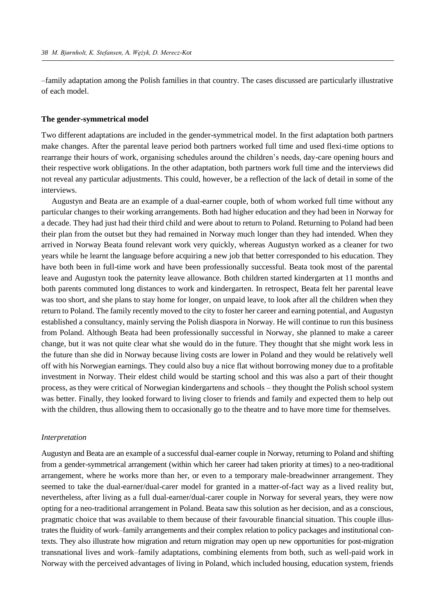–family adaptation among the Polish families in that country. The cases discussed are particularly illustrative of each model.

#### **The gender-symmetrical model**

Two different adaptations are included in the gender-symmetrical model. In the first adaptation both partners make changes. After the parental leave period both partners worked full time and used flexi-time options to rearrange their hours of work, organising schedules around the children's needs, day-care opening hours and their respective work obligations. In the other adaptation, both partners work full time and the interviews did not reveal any particular adjustments. This could, however, be a reflection of the lack of detail in some of the interviews.

Augustyn and Beata are an example of a dual-earner couple, both of whom worked full time without any particular changes to their working arrangements. Both had higher education and they had been in Norway for a decade. They had just had their third child and were about to return to Poland. Returning to Poland had been their plan from the outset but they had remained in Norway much longer than they had intended. When they arrived in Norway Beata found relevant work very quickly, whereas Augustyn worked as a cleaner for two years while he learnt the language before acquiring a new job that better corresponded to his education. They have both been in full-time work and have been professionally successful. Beata took most of the parental leave and Augustyn took the paternity leave allowance. Both children started kindergarten at 11 months and both parents commuted long distances to work and kindergarten. In retrospect, Beata felt her parental leave was too short, and she plans to stay home for longer, on unpaid leave, to look after all the children when they return to Poland. The family recently moved to the city to foster her career and earning potential, and Augustyn established a consultancy, mainly serving the Polish diaspora in Norway. He will continue to run this business from Poland. Although Beata had been professionally successful in Norway, she planned to make a career change, but it was not quite clear what she would do in the future. They thought that she might work less in the future than she did in Norway because living costs are lower in Poland and they would be relatively well off with his Norwegian earnings. They could also buy a nice flat without borrowing money due to a profitable investment in Norway. Their eldest child would be starting school and this was also a part of their thought process, as they were critical of Norwegian kindergartens and schools – they thought the Polish school system was better. Finally, they looked forward to living closer to friends and family and expected them to help out with the children, thus allowing them to occasionally go to the theatre and to have more time for themselves.

# *Interpretation*

Augustyn and Beata are an example of a successful dual-earner couple in Norway, returning to Poland and shifting from a gender-symmetrical arrangement (within which her career had taken priority at times) to a neo-traditional arrangement, where he works more than her, or even to a temporary male-breadwinner arrangement. They seemed to take the dual-earner/dual-carer model for granted in a matter-of-fact way as a lived reality but, nevertheless, after living as a full dual-earner/dual-carer couple in Norway for several years, they were now opting for a neo-traditional arrangement in Poland. Beata saw this solution as her decision, and as a conscious, pragmatic choice that was available to them because of their favourable financial situation. This couple illustrates the fluidity of work–family arrangements and their complex relation to policy packages and institutional contexts. They also illustrate how migration and return migration may open up new opportunities for post-migration transnational lives and work–family adaptations, combining elements from both, such as well-paid work in Norway with the perceived advantages of living in Poland, which included housing, education system, friends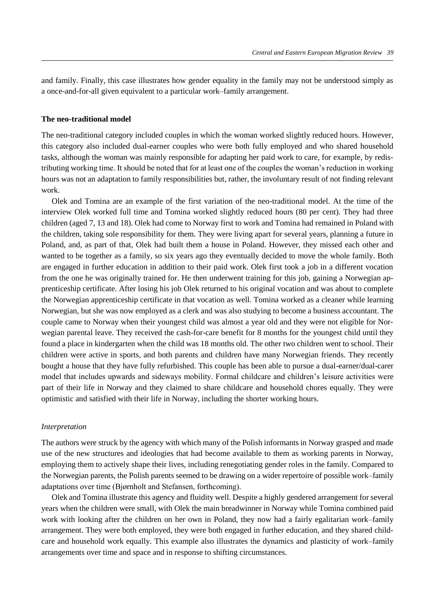and family. Finally, this case illustrates how gender equality in the family may not be understood simply as a once-and-for-all given equivalent to a particular work–family arrangement.

#### **The neo-traditional model**

The neo-traditional category included couples in which the woman worked slightly reduced hours. However, this category also included dual-earner couples who were both fully employed and who shared household tasks, although the woman was mainly responsible for adapting her paid work to care, for example, by redistributing working time. It should be noted that for at least one of the couples the woman's reduction in working hours was not an adaptation to family responsibilities but, rather, the involuntary result of not finding relevant work.

Olek and Tomina are an example of the first variation of the neo-traditional model. At the time of the interview Olek worked full time and Tomina worked slightly reduced hours (80 per cent). They had three children (aged 7, 13 and 18). Olek had come to Norway first to work and Tomina had remained in Poland with the children, taking sole responsibility for them. They were living apart for several years, planning a future in Poland, and, as part of that, Olek had built them a house in Poland. However, they missed each other and wanted to be together as a family, so six years ago they eventually decided to move the whole family. Both are engaged in further education in addition to their paid work. Olek first took a job in a different vocation from the one he was originally trained for. He then underwent training for this job, gaining a Norwegian apprenticeship certificate. After losing his job Olek returned to his original vocation and was about to complete the Norwegian apprenticeship certificate in that vocation as well. Tomina worked as a cleaner while learning Norwegian, but she was now employed as a clerk and was also studying to become a business accountant. The couple came to Norway when their youngest child was almost a year old and they were not eligible for Norwegian parental leave. They received the cash-for-care benefit for 8 months for the youngest child until they found a place in kindergarten when the child was 18 months old. The other two children went to school. Their children were active in sports, and both parents and children have many Norwegian friends. They recently bought a house that they have fully refurbished. This couple has been able to pursue a dual-earner/dual-carer model that includes upwards and sideways mobility. Formal childcare and children's leisure activities were part of their life in Norway and they claimed to share childcare and household chores equally. They were optimistic and satisfied with their life in Norway, including the shorter working hours.

#### *Interpretation*

The authors were struck by the agency with which many of the Polish informants in Norway grasped and made use of the new structures and ideologies that had become available to them as working parents in Norway, employing them to actively shape their lives, including renegotiating gender roles in the family. Compared to the Norwegian parents, the Polish parents seemed to be drawing on a wider repertoire of possible work–family adaptations over time (Bjørnholt and Stefansen, forthcoming).

Olek and Tomina illustrate this agency and fluidity well. Despite a highly gendered arrangement for several years when the children were small, with Olek the main breadwinner in Norway while Tomina combined paid work with looking after the children on her own in Poland, they now had a fairly egalitarian work–family arrangement. They were both employed, they were both engaged in further education, and they shared childcare and household work equally. This example also illustrates the dynamics and plasticity of work–family arrangements over time and space and in response to shifting circumstances.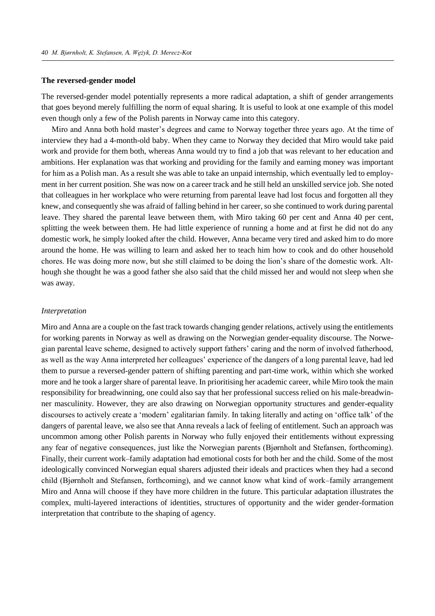## **The reversed-gender model**

The reversed-gender model potentially represents a more radical adaptation, a shift of gender arrangements that goes beyond merely fulfilling the norm of equal sharing. It is useful to look at one example of this model even though only a few of the Polish parents in Norway came into this category.

Miro and Anna both hold master's degrees and came to Norway together three years ago. At the time of interview they had a 4-month-old baby. When they came to Norway they decided that Miro would take paid work and provide for them both, whereas Anna would try to find a job that was relevant to her education and ambitions. Her explanation was that working and providing for the family and earning money was important for him as a Polish man. As a result she was able to take an unpaid internship, which eventually led to employment in her current position. She was now on a career track and he still held an unskilled service job. She noted that colleagues in her workplace who were returning from parental leave had lost focus and forgotten all they knew, and consequently she was afraid of falling behind in her career, so she continued to work during parental leave. They shared the parental leave between them, with Miro taking 60 per cent and Anna 40 per cent, splitting the week between them. He had little experience of running a home and at first he did not do any domestic work, he simply looked after the child. However, Anna became very tired and asked him to do more around the home. He was willing to learn and asked her to teach him how to cook and do other household chores. He was doing more now, but she still claimed to be doing the lion's share of the domestic work. Although she thought he was a good father she also said that the child missed her and would not sleep when she was away.

#### *Interpretation*

Miro and Anna are a couple on the fast track towards changing gender relations, actively using the entitlements for working parents in Norway as well as drawing on the Norwegian gender-equality discourse. The Norwegian parental leave scheme, designed to actively support fathers' caring and the norm of involved fatherhood, as well as the way Anna interpreted her colleagues' experience of the dangers of a long parental leave, had led them to pursue a reversed-gender pattern of shifting parenting and part-time work, within which she worked more and he took a larger share of parental leave. In prioritising her academic career, while Miro took the main responsibility for breadwinning, one could also say that her professional success relied on his male-breadwinner masculinity. However, they are also drawing on Norwegian opportunity structures and gender-equality discourses to actively create a 'modern' egalitarian family. In taking literally and acting on 'office talk' of the dangers of parental leave, we also see that Anna reveals a lack of feeling of entitlement. Such an approach was uncommon among other Polish parents in Norway who fully enjoyed their entitlements without expressing any fear of negative consequences, just like the Norwegian parents (Bjørnholt and Stefansen, forthcoming). Finally, their current work–family adaptation had emotional costs for both her and the child. Some of the most ideologically convinced Norwegian equal sharers adjusted their ideals and practices when they had a second child (Bjørnholt and Stefansen, forthcoming), and we cannot know what kind of work–family arrangement Miro and Anna will choose if they have more children in the future. This particular adaptation illustrates the complex, multi-layered interactions of identities, structures of opportunity and the wider gender-formation interpretation that contribute to the shaping of agency.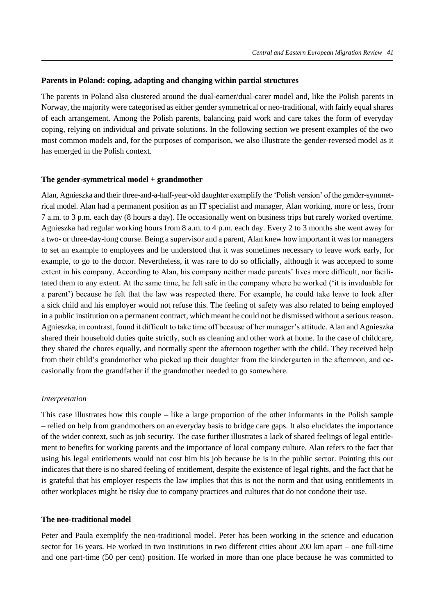## **Parents in Poland: coping, adapting and changing within partial structures**

The parents in Poland also clustered around the dual-earner/dual-carer model and, like the Polish parents in Norway, the majority were categorised as either gender symmetrical or neo-traditional, with fairly equal shares of each arrangement. Among the Polish parents, balancing paid work and care takes the form of everyday coping, relying on individual and private solutions. In the following section we present examples of the two most common models and, for the purposes of comparison, we also illustrate the gender-reversed model as it has emerged in the Polish context.

#### **The gender-symmetrical model + grandmother**

Alan, Agnieszka and their three-and-a-half-year-old daughter exemplify the 'Polish version' of the gender-symmetrical model. Alan had a permanent position as an IT specialist and manager, Alan working, more or less, from 7 a.m. to 3 p.m. each day (8 hours a day). He occasionally went on business trips but rarely worked overtime. Agnieszka had regular working hours from 8 a.m. to 4 p.m. each day. Every 2 to 3 months she went away for a two- or three-day-long course. Being a supervisor and a parent, Alan knew how important it was for managers to set an example to employees and he understood that it was sometimes necessary to leave work early, for example, to go to the doctor. Nevertheless, it was rare to do so officially, although it was accepted to some extent in his company. According to Alan, his company neither made parents' lives more difficult, nor facilitated them to any extent. At the same time, he felt safe in the company where he worked ('it is invaluable for a parent') because he felt that the law was respected there. For example, he could take leave to look after a sick child and his employer would not refuse this. The feeling of safety was also related to being employed in a public institution on a permanent contract, which meant he could not be dismissed without a serious reason. Agnieszka, in contrast, found it difficult to take time off because of her manager's attitude. Alan and Agnieszka shared their household duties quite strictly, such as cleaning and other work at home. In the case of childcare, they shared the chores equally, and normally spent the afternoon together with the child. They received help from their child's grandmother who picked up their daughter from the kindergarten in the afternoon, and occasionally from the grandfather if the grandmother needed to go somewhere.

# *Interpretation*

This case illustrates how this couple – like a large proportion of the other informants in the Polish sample – relied on help from grandmothers on an everyday basis to bridge care gaps. It also elucidates the importance of the wider context, such as job security. The case further illustrates a lack of shared feelings of legal entitlement to benefits for working parents and the importance of local company culture. Alan refers to the fact that using his legal entitlements would not cost him his job because he is in the public sector. Pointing this out indicates that there is no shared feeling of entitlement, despite the existence of legal rights, and the fact that he is grateful that his employer respects the law implies that this is not the norm and that using entitlements in other workplaces might be risky due to company practices and cultures that do not condone their use.

#### **The neo-traditional model**

Peter and Paula exemplify the neo-traditional model. Peter has been working in the science and education sector for 16 years. He worked in two institutions in two different cities about 200 km apart – one full-time and one part-time (50 per cent) position. He worked in more than one place because he was committed to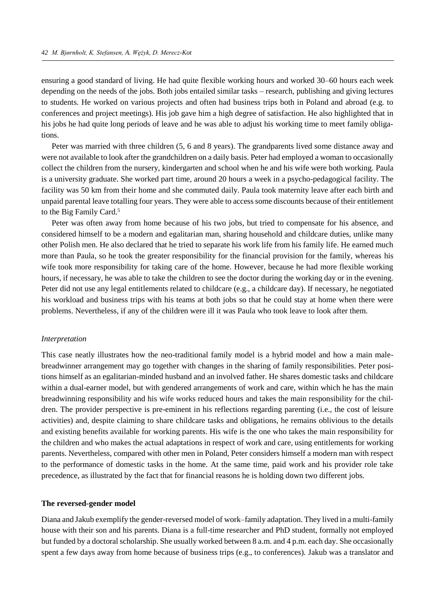ensuring a good standard of living. He had quite flexible working hours and worked 30–60 hours each week depending on the needs of the jobs. Both jobs entailed similar tasks – research, publishing and giving lectures to students. He worked on various projects and often had business trips both in Poland and abroad (e.g. to conferences and project meetings). His job gave him a high degree of satisfaction. He also highlighted that in his jobs he had quite long periods of leave and he was able to adjust his working time to meet family obligations.

Peter was married with three children (5, 6 and 8 years). The grandparents lived some distance away and were not available to look after the grandchildren on a daily basis. Peter had employed a woman to occasionally collect the children from the nursery, kindergarten and school when he and his wife were both working. Paula is a university graduate. She worked part time, around 20 hours a week in a psycho-pedagogical facility. The facility was 50 km from their home and she commuted daily. Paula took maternity leave after each birth and unpaid parental leave totalling four years. They were able to access some discounts because of their entitlement to the Big Family Card.<sup>5</sup>

Peter was often away from home because of his two jobs, but tried to compensate for his absence, and considered himself to be a modern and egalitarian man, sharing household and childcare duties, unlike many other Polish men. He also declared that he tried to separate his work life from his family life. He earned much more than Paula, so he took the greater responsibility for the financial provision for the family, whereas his wife took more responsibility for taking care of the home. However, because he had more flexible working hours, if necessary, he was able to take the children to see the doctor during the working day or in the evening. Peter did not use any legal entitlements related to childcare (e.g., a childcare day). If necessary, he negotiated his workload and business trips with his teams at both jobs so that he could stay at home when there were problems. Nevertheless, if any of the children were ill it was Paula who took leave to look after them.

#### *Interpretation*

This case neatly illustrates how the neo-traditional family model is a hybrid model and how a main malebreadwinner arrangement may go together with changes in the sharing of family responsibilities. Peter positions himself as an egalitarian-minded husband and an involved father. He shares domestic tasks and childcare within a dual-earner model, but with gendered arrangements of work and care, within which he has the main breadwinning responsibility and his wife works reduced hours and takes the main responsibility for the children. The provider perspective is pre-eminent in his reflections regarding parenting (i.e., the cost of leisure activities) and, despite claiming to share childcare tasks and obligations, he remains oblivious to the details and existing benefits available for working parents. His wife is the one who takes the main responsibility for the children and who makes the actual adaptations in respect of work and care, using entitlements for working parents. Nevertheless, compared with other men in Poland, Peter considers himself a modern man with respect to the performance of domestic tasks in the home. At the same time, paid work and his provider role take precedence, as illustrated by the fact that for financial reasons he is holding down two different jobs.

#### **The reversed-gender model**

Diana and Jakub exemplify the gender-reversed model of work–family adaptation. They lived in a multi-family house with their son and his parents. Diana is a full-time researcher and PhD student, formally not employed but funded by a doctoral scholarship. She usually worked between 8 a.m. and 4 p.m. each day. She occasionally spent a few days away from home because of business trips (e.g., to conferences). Jakub was a translator and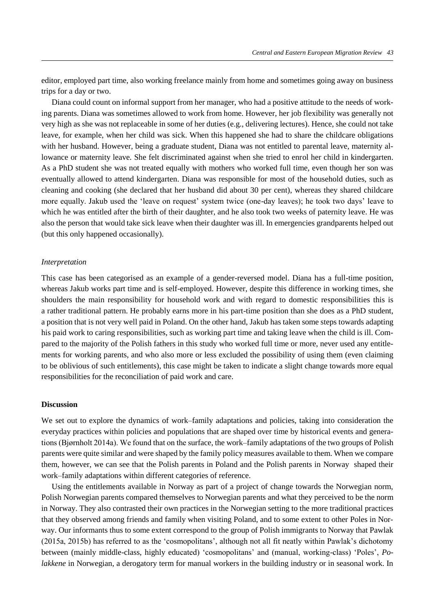editor, employed part time, also working freelance mainly from home and sometimes going away on business trips for a day or two.

Diana could count on informal support from her manager, who had a positive attitude to the needs of working parents. Diana was sometimes allowed to work from home. However, her job flexibility was generally not very high as she was not replaceable in some of her duties (e.g., delivering lectures). Hence, she could not take leave, for example, when her child was sick. When this happened she had to share the childcare obligations with her husband. However, being a graduate student, Diana was not entitled to parental leave, maternity allowance or maternity leave. She felt discriminated against when she tried to enrol her child in kindergarten. As a PhD student she was not treated equally with mothers who worked full time, even though her son was eventually allowed to attend kindergarten. Diana was responsible for most of the household duties, such as cleaning and cooking (she declared that her husband did about 30 per cent), whereas they shared childcare more equally. Jakub used the 'leave on request' system twice (one-day leaves); he took two days' leave to which he was entitled after the birth of their daughter, and he also took two weeks of paternity leave. He was also the person that would take sick leave when their daughter was ill. In emergencies grandparents helped out (but this only happened occasionally).

#### *Interpretation*

This case has been categorised as an example of a gender-reversed model. Diana has a full-time position, whereas Jakub works part time and is self-employed. However, despite this difference in working times, she shoulders the main responsibility for household work and with regard to domestic responsibilities this is a rather traditional pattern. He probably earns more in his part-time position than she does as a PhD student, a position that is not very well paid in Poland. On the other hand, Jakub has taken some steps towards adapting his paid work to caring responsibilities, such as working part time and taking leave when the child is ill. Compared to the majority of the Polish fathers in this study who worked full time or more, never used any entitlements for working parents, and who also more or less excluded the possibility of using them (even claiming to be oblivious of such entitlements), this case might be taken to indicate a slight change towards more equal responsibilities for the reconciliation of paid work and care.

## **Discussion**

We set out to explore the dynamics of work–family adaptations and policies, taking into consideration the everyday practices within policies and populations that are shaped over time by historical events and generations (Bjørnholt 2014a). We found that on the surface, the work–family adaptations of the two groups of Polish parents were quite similar and were shaped by the family policy measures available to them. When we compare them, however, we can see that the Polish parents in Poland and the Polish parents in Norway shaped their work–family adaptations within different categories of reference.

Using the entitlements available in Norway as part of a project of change towards the Norwegian norm, Polish Norwegian parents compared themselves to Norwegian parents and what they perceived to be the norm in Norway. They also contrasted their own practices in the Norwegian setting to the more traditional practices that they observed among friends and family when visiting Poland, and to some extent to other Poles in Norway. Our informants thus to some extent correspond to the group of Polish immigrants to Norway that Pawlak (2015a, 2015b) has referred to as the 'cosmopolitans', although not all fit neatly within Pawlak's dichotomy between (mainly middle-class, highly educated) 'cosmopolitans' and (manual, working-class) 'Poles', *Polakkene* in Norwegian, a derogatory term for manual workers in the building industry or in seasonal work. In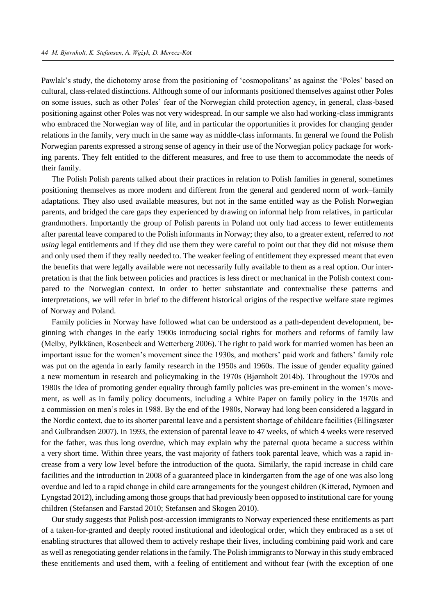Pawlak's study, the dichotomy arose from the positioning of 'cosmopolitans' as against the 'Poles' based on cultural, class-related distinctions. Although some of our informants positioned themselves against other Poles on some issues, such as other Poles' fear of the Norwegian child protection agency, in general, class-based positioning against other Poles was not very widespread. In our sample we also had working-class immigrants who embraced the Norwegian way of life, and in particular the opportunities it provides for changing gender relations in the family, very much in the same way as middle-class informants. In general we found the Polish Norwegian parents expressed a strong sense of agency in their use of the Norwegian policy package for working parents. They felt entitled to the different measures, and free to use them to accommodate the needs of their family.

The Polish Polish parents talked about their practices in relation to Polish families in general, sometimes positioning themselves as more modern and different from the general and gendered norm of work–family adaptations. They also used available measures, but not in the same entitled way as the Polish Norwegian parents, and bridged the care gaps they experienced by drawing on informal help from relatives, in particular grandmothers. Importantly the group of Polish parents in Poland not only had access to fewer entitlements after parental leave compared to the Polish informants in Norway; they also, to a greater extent, referred to *not using* legal entitlements and if they did use them they were careful to point out that they did not *mis*use them and only used them if they really needed to. The weaker feeling of entitlement they expressed meant that even the benefits that were legally available were not necessarily fully available to them as a real option. Our interpretation is that the link between policies and practices is less direct or mechanical in the Polish context compared to the Norwegian context. In order to better substantiate and contextualise these patterns and interpretations, we will refer in brief to the different historical origins of the respective welfare state regimes of Norway and Poland.

Family policies in Norway have followed what can be understood as a path-dependent development, beginning with changes in the early 1900s introducing social rights for mothers and reforms of family law (Melby, Pylkkänen, Rosenbeck and Wetterberg 2006). The right to paid work for married women has been an important issue for the women's movement since the 1930s, and mothers' paid work and fathers' family role was put on the agenda in early family research in the 1950s and 1960s. The issue of gender equality gained a new momentum in research and policymaking in the 1970s (Bjørnholt 2014b). Throughout the 1970s and 1980s the idea of promoting gender equality through family policies was pre-eminent in the women's movement, as well as in family policy documents, including a White Paper on family policy in the 1970s and a commission on men's roles in 1988. By the end of the 1980s, Norway had long been considered a laggard in the Nordic context, due to its shorter parental leave and a persistent shortage of childcare facilities (Ellingsæter and Gulbrandsen 2007). In 1993, the extension of parental leave to 47 weeks, of which 4 weeks were reserved for the father, was thus long overdue, which may explain why the paternal quota became a success within a very short time. Within three years, the vast majority of fathers took parental leave, which was a rapid increase from a very low level before the introduction of the quota. Similarly, the rapid increase in child care facilities and the introduction in 2008 of a guaranteed place in kindergarten from the age of one was also long overdue and led to a rapid change in child care arrangements for the youngest children (Kitterød, Nymoen and Lyngstad 2012), including among those groups that had previously been opposed to institutional care for young children (Stefansen and Farstad 2010; Stefansen and Skogen 2010).

Our study suggests that Polish post-accession immigrants to Norway experienced these entitlements as part of a taken-for-granted and deeply rooted institutional and ideological order, which they embraced as a set of enabling structures that allowed them to actively reshape their lives, including combining paid work and care as well as renegotiating gender relations in the family. The Polish immigrants to Norway in this study embraced these entitlements and used them, with a feeling of entitlement and without fear (with the exception of one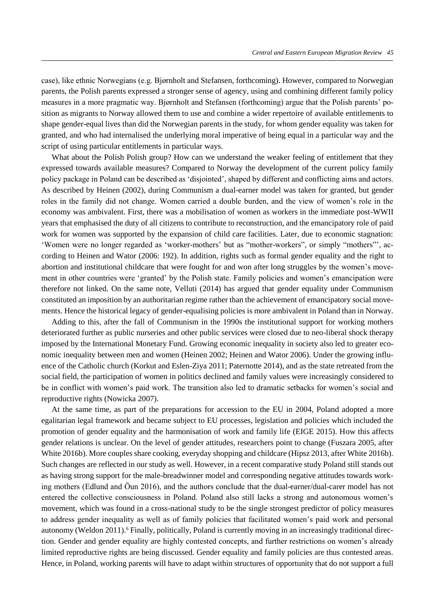case), like ethnic Norwegians (e.g. Bjørnholt and Stefansen, forthcoming). However, compared to Norwegian parents, the Polish parents expressed a stronger sense of agency, using and combining different family policy measures in a more pragmatic way. Bjørnholt and Stefansen (forthcoming) argue that the Polish parents' position as migrants to Norway allowed them to use and combine a wider repertoire of available entitlements to shape gender-equal lives than did the Norwegian parents in the study, for whom gender equality was taken for granted, and who had internalised the underlying moral imperative of being equal in a particular way and the script of using particular entitlements in particular ways.

What about the Polish Polish group? How can we understand the weaker feeling of entitlement that they expressed towards available measures? Compared to Norway the development of the current policy family policy package in Poland can be described as 'disjointed', shaped by different and conflicting aims and actors. As described by Heinen (2002), during Communism a dual-earner model was taken for granted, but gender roles in the family did not change. Women carried a double burden, and the view of women's role in the economy was ambivalent. First, there was a mobilisation of women as workers in the immediate post-WWII years that emphasised the duty of all citizens to contribute to reconstruction, and the emancipatory role of paid work for women was supported by the expansion of child care facilities. Later, due to economic stagnation: 'Women were no longer regarded as 'worker-mothers' but as "mother-workers", or simply "mothers"', according to Heinen and Wator (2006: 192). In addition, rights such as formal gender equality and the right to abortion and institutional childcare that were fought for and won after long struggles by the women's movement in other countries were 'granted' by the Polish state. Family policies and women's emancipation were therefore not linked. On the same note, Velluti (2014) has argued that gender equality under Communism constituted an imposition by an authoritarian regime rather than the achievement of emancipatory social movements. Hence the historical legacy of gender-equalising policies is more ambivalent in Poland than in Norway.

Adding to this, after the fall of Communism in the 1990s the institutional support for working mothers deteriorated further as public nurseries and other public services were closed due to neo-liberal shock therapy imposed by the International Monetary Fund. Growing economic inequality in society also led to greater economic inequality between men and women (Heinen 2002; Heinen and Wator 2006). Under the growing influence of the Catholic church (Korkut and Eslen-Ziya 2011; Paternotte 2014), and as the state retreated from the social field, the participation of women in politics declined and family values were increasingly considered to be in conflict with women's paid work. The transition also led to dramatic setbacks for women's social and reproductive rights (Nowicka 2007).

At the same time, as part of the preparations for accession to the EU in 2004, Poland adopted a more egalitarian legal framework and became subject to EU processes, legislation and policies which included the promotion of gender equality and the harmonisation of work and family life (EIGE 2015). How this affects gender relations is unclear. On the level of gender attitudes, researchers point to change (Fuszara 2005, after White 2016b). More couples share cooking, everyday shopping and childcare (Hipsz 2013, after White 2016b). Such changes are reflected in our study as well. However, in a recent comparative study Poland still stands out as having strong support for the male-breadwinner model and corresponding negative attitudes towards working mothers (Edlund and Öun 2016), and the authors conclude that the dual-earner/dual-carer model has not entered the collective consciousness in Poland. Poland also still lacks a strong and autonomous women's movement, which was found in a cross-national study to be the single strongest predictor of policy measures to address gender inequality as well as of family policies that facilitated women's paid work and personal autonomy (Weldon 2011).<sup>6</sup> Finally, politically, Poland is currently moving in an increasingly traditional direction. Gender and gender equality are highly contested concepts, and further restrictions on women's already limited reproductive rights are being discussed. Gender equality and family policies are thus contested areas. Hence, in Poland, working parents will have to adapt within structures of opportunity that do not support a full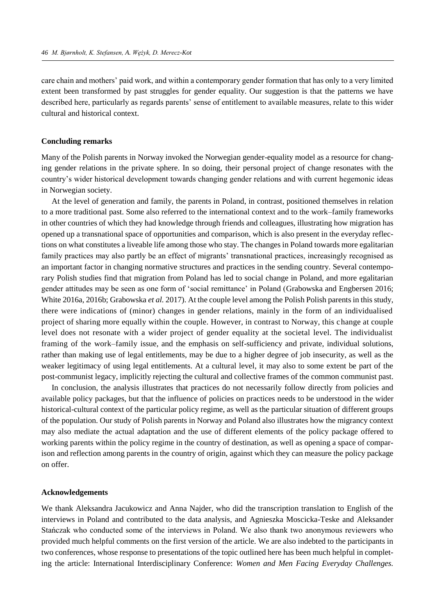care chain and mothers' paid work, and within a contemporary gender formation that has only to a very limited extent been transformed by past struggles for gender equality. Our suggestion is that the patterns we have described here, particularly as regards parents' sense of entitlement to available measures, relate to this wider cultural and historical context.

#### **Concluding remarks**

Many of the Polish parents in Norway invoked the Norwegian gender-equality model as a resource for changing gender relations in the private sphere. In so doing, their personal project of change resonates with the country's wider historical development towards changing gender relations and with current hegemonic ideas in Norwegian society.

At the level of generation and family, the parents in Poland, in contrast, positioned themselves in relation to a more traditional past. Some also referred to the international context and to the work–family frameworks in other countries of which they had knowledge through friends and colleagues, illustrating how migration has opened up a transnational space of opportunities and comparison, which is also present in the everyday reflections on what constitutes a liveable life among those who stay. The changes in Poland towards more egalitarian family practices may also partly be an effect of migrants' transnational practices, increasingly recognised as an important factor in changing normative structures and practices in the sending country. Several contemporary Polish studies find that migration from Poland has led to social change in Poland, and more egalitarian gender attitudes may be seen as one form of 'social remittance' in Poland (Grabowska and Engbersen 2016; White 2016a, 2016b; Grabowska *et al.* 2017). At the couple level among the Polish Polish parents in this study, there were indications of (minor) changes in gender relations, mainly in the form of an individualised project of sharing more equally within the couple. However, in contrast to Norway, this change at couple level does not resonate with a wider project of gender equality at the societal level. The individualist framing of the work–family issue, and the emphasis on self-sufficiency and private, individual solutions, rather than making use of legal entitlements, may be due to a higher degree of job insecurity, as well as the weaker legitimacy of using legal entitlements. At a cultural level, it may also to some extent be part of the post-communist legacy, implicitly rejecting the cultural and collective frames of the common communist past.

In conclusion, the analysis illustrates that practices do not necessarily follow directly from policies and available policy packages, but that the influence of policies on practices needs to be understood in the wider historical-cultural context of the particular policy regime, as well as the particular situation of different groups of the population. Our study of Polish parents in Norway and Poland also illustrates how the migrancy context may also mediate the actual adaptation and the use of different elements of the policy package offered to working parents within the policy regime in the country of destination, as well as opening a space of comparison and reflection among parents in the country of origin, against which they can measure the policy package on offer.

#### **Acknowledgements**

We thank Aleksandra Jacukowicz and Anna Najder, who did the transcription translation to English of the interviews in Poland and contributed to the data analysis, and Agnieszka Moscicka-Teske and Aleksander Stańczak who conducted some of the interviews in Poland. We also thank two anonymous reviewers who provided much helpful comments on the first version of the article. We are also indebted to the participants in two conferences, whose response to presentations of the topic outlined here has been much helpful in completing the article: International Interdisciplinary Conference: *Women and Men Facing Everyday Challenges.*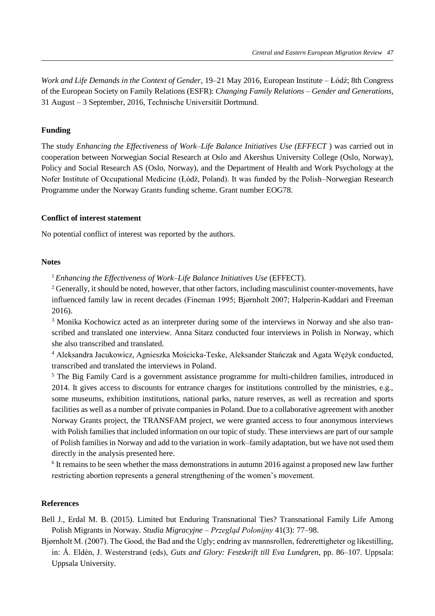*Work and Life Demands in the Context of Gender*, 19–21 May 2016, European Institute – Łódź; 8th Congress of the European Society on Family Relations (ESFR): *Changing Family Relations – Gender and Generations*, 31 August – 3 September, 2016, Technische Universität Dortmund.

# **Funding**

The study *Enhancing the Effectiveness of Work–Life Balance Initiatives Use (EFFECT* ) was carried out in cooperation between Norwegian Social Research at Oslo and Akershus University College (Oslo, Norway), Policy and Social Research AS (Oslo, Norway), and the Department of Health and Work Psychology at the Nofer Institute of Occupational Medicine (Łódź, Poland). It was funded by the Polish–Norwegian Research Programme under the Norway Grants funding scheme. Grant number EOG78.

## **Conflict of interest statement**

No potential conflict of interest was reported by the authors.

# **Notes**

<sup>1</sup>*Enhancing the Effectiveness of Work–Life Balance Initiatives Use* (EFFECT).

<sup>2</sup> Generally, it should be noted, however, that other factors, including masculinist counter-movements, have influenced family law in recent decades (Fineman 1995; Bjørnholt 2007; Halperin-Kaddari and Freeman 2016).

<sup>3</sup> Monika Kochowicz acted as an interpreter during some of the interviews in Norway and she also transcribed and translated one interview. Anna Sitarz conducted four interviews in Polish in Norway, which she also transcribed and translated.

<sup>4</sup> Aleksandra Jacukowicz, Agnieszka Mościcka-Teske, Aleksander Stańczak and Agata Wężyk conducted, transcribed and translated the interviews in Poland.

<sup>5</sup> The Big Family Card is a government assistance programme for multi-children families, introduced in 2014. It gives access to discounts for entrance charges for institutions controlled by the ministries, e.g., some museums, exhibition institutions, national parks, nature reserves, as well as recreation and sports facilities as well as a number of private companies in Poland. Due to a collaborative agreement with another Norway Grants project, the TRANSFAM project, we were granted access to four anonymous interviews with Polish families that included information on our topic of study. These interviews are part of our sample of Polish families in Norway and add to the variation in work–family adaptation, but we have not used them directly in the analysis presented here.

<sup>6</sup> It remains to be seen whether the mass demonstrations in autumn 2016 against a proposed new law further restricting abortion represents a general strengthening of the women's movement.

## **References**

Bell J., Erdal M. B. (2015). Limited but Enduring Transnational Ties? Transnational Family Life Among Polish Migrants in Norway. *Studia Migracyjne – Przegląd Polonijny* 41(3): 77–98.

Bjørnholt M. (2007). The Good, the Bad and the Ugly; endring av mannsrollen, fedrerettigheter og likestilling, in: Å. Eldén, J. Westerstrand (eds), *Guts and Glory: Festskrift till Eva Lundgren*, pp. 86–107. Uppsala: Uppsala University.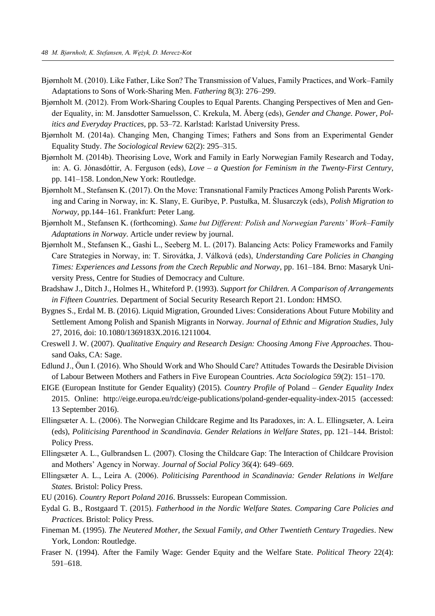- Bjørnholt M. (2010). Like Father, Like Son? The Transmission of Values, Family Practices, and Work–Family Adaptations to Sons of Work-Sharing Men. *Fathering* 8(3): 276–299.
- Bjørnholt M. (2012). From Work-Sharing Couples to Equal Parents. Changing Perspectives of Men and Gender Equality, in: M. Jansdotter Samuelsson, C. Krekula, M. Åberg (eds), *Gender and Change. Power, Politics and Everyday Practices*, pp. 53–72. Karlstad: Karlstad University Press.
- Bjørnholt M. (2014a). Changing Men, Changing Times; Fathers and Sons from an Experimental Gender Equality Study. *The Sociological Review* 62(2): 295–315.
- Bjørnholt M. (2014b). Theorising Love, Work and Family in Early Norwegian Family Research and Today, in: A. G. Jónasdóttir, A. Ferguson (eds), *Love – a Question for Feminism in the Twenty-First Century*, pp. 141–158. London,New York: Routledge.
- Bjørnholt M., Stefansen K. (2017). On the Move: Transnational Family Practices Among Polish Parents Working and Caring in Norway, in: K. Slany, E. Guribye, P. Pustułka, M. Ślusarczyk (eds), *Polish Migration to Norway,* pp.144–161. Frankfurt: Peter Lang.
- Bjørnholt M., Stefansen K. (forthcoming). *Same but Different: Polish and Norwegian Parents' Work–Family Adaptations in Norway*. Article under review by journal.
- Bjørnholt M., Stefansen K., Gashi L., Seeberg M. L. (2017). Balancing Acts: Policy Frameworks and Family Care Strategies in Norway, in: T. Sirovátka, J. Válková (eds), *[Understanding Care Policies in Changing](http://inncare.fss.muni.cz/wp-content/uploads/2017/04/Monograph.pdf)  [Times: Experiences and Lessons from the Czech Republic and Norway](http://inncare.fss.muni.cz/wp-content/uploads/2017/04/Monograph.pdf)*, pp. 161–184. Brno: Masaryk University Press, Centre for Studies of Democracy and Culture.
- Bradshaw J., Ditch J., Holmes H., Whiteford P. (1993). *Support for Children. A Comparison of Arrangements in Fifteen Countries.* Department of Social Security Research Report 21. London: HMSO.
- Bygnes S., Erdal M. B. (2016). Liquid Migration, Grounded Lives: Considerations About Future Mobility and Settlement Among Polish and Spanish Migrants in Norway. *Journal of Ethnic and Migration Studies*, July 27, 2016, doi: 10.1080/1369183X.2016.1211004.
- Creswell J. W. (2007). *Qualitative Enquiry and Research Design: Choosing Among Five Approaches*. Thousand Oaks, CA: Sage.
- Edlund J., Öun I. (2016). Who Should Work and Who Should Care? Attitudes Towards the Desirable Division of Labour Between Mothers and Fathers in Five European Countries. *Acta Sociologica* 59(2): 151–170.
- EIGE (European Institute for Gender Equality) (2015). *Country Profile of* Poland *Gender Equality Index*  2015. Online: http://eige.europa.eu/rdc/eige-publications/poland-gender-equality-index-2015 (accessed: 13 September 2016).
- Ellingsæter A. L. (2006). The Norwegian Childcare Regime and Its Paradoxes, in: A. L. Ellingsæter, A. Leira (eds), *Politicising Parenthood in Scandinavia. Gender Relations in Welfare States*, pp. 121–144. Bristol: Policy Press.
- Ellingsæter A. L., Gulbrandsen L. (2007). Closing the Childcare Gap: The Interaction of Childcare Provision and Mothers' Agency in Norway. *Journal of Social Policy* 36(4): 649–669.
- Ellingsæter A. L., Leira A. (2006). *Politicising Parenthood in Scandinavia: Gender Relations in Welfare States.* Bristol: Policy Press.
- EU (2016). *Country Report Poland 2016*. Brusssels: European Commission.
- Eydal G. B., Rostgaard T. (2015). *Fatherhood in the Nordic Welfare States. Comparing Care Policies and Practices.* Bristol: Policy Press.
- Fineman M. (1995). *The Neutered Mother, the Sexual Family, and Other Twentieth Century Tragedies*. New York, London: Routledge.
- Fraser N. (1994). After the Family Wage: Gender Equity and the Welfare State. *Political Theory* 22(4): 591–618.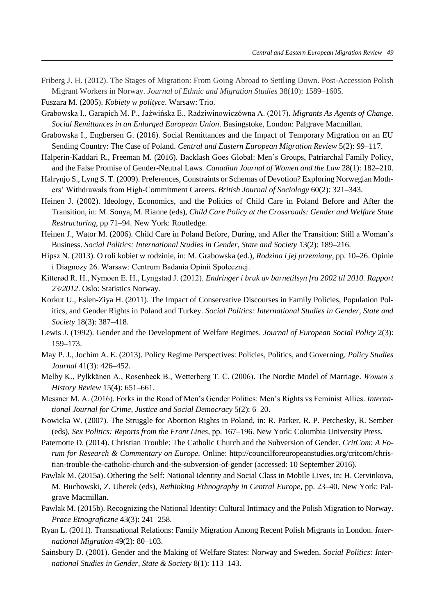Friberg J. H. (2012). The Stages of Migration: From Going Abroad to Settling Down. Post-Accession Polish Migrant Workers in Norway. *Journal of Ethnic and Migration Studies* 38(10): 1589–1605*.*

Fuszara M. (2005). *Kobiety w polityce*. Warsaw: Trio.

- Grabowska I., Garapich M. P., Jaźwińska E., Radziwinowiczówna A. (2017). *Migrants As Agents of Change. Social Remittances in an Enlarged European Union*. Basingstoke, London: Palgrave Macmillan.
- Grabowska I., Engbersen G. (2016). Social Remittances and the Impact of Temporary Migration on an EU Sending Country: The Case of Poland. *Central and Eastern European Migration Review* 5(2): 99–117.
- Halperin-Kaddari R., Freeman M. (2016). Backlash Goes Global: Men's Groups, Patriarchal Family Policy, and the False Promise of Gender-Neutral Laws*. Canadian Journal of Women and the Law* 28(1): 182–210.
- Halrynjo S., Lyng S. T. (2009). Preferences, Constraints or Schemas of Devotion? Exploring Norwegian Mothers' Withdrawals from High‐Commitment Careers. *British Journal of Sociology* 60(2): 321–343.
- Heinen J. (2002). Ideology, Economics, and the Politics of Child Care in Poland Before and After the Transition, in: M. Sonya, M. Rianne (eds), *Child Care Policy at the Crossroads: Gender and Welfare State Restructuring*, pp 71–94*.* New York: Routledge.
- Heinen J., Wator M. (2006). Child Care in Poland Before, During, and After the Transition: Still a Woman's Business. *Social Politics: International Studies in Gender, State and Society* 13(2): 189–216.
- Hipsz N. (2013). O roli kobiet w rodzinie, in: M. Grabowska (ed.), *Rodzina i jej przemiany*, pp. 10–26. Opinie i Diagnozy 26. Warsaw: Centrum Badania Opinii Społecznej.
- Kitterød R. H., Nymoen E. H., Lyngstad J. (2012). *Endringer i bruk av barnetilsyn fra 2002 til 2010. Rapport 23/2012*. Oslo: Statistics Norway.
- Korkut U., Eslen-Ziya H. (2011). The Impact of Conservative Discourses in Family Policies, Population Politics, and Gender Rights in Poland and Turkey. *Social Politics: International Studies in Gender, State and Society* 18(3): 387–418.
- Lewis J. (1992). Gender and the Development of Welfare Regimes. *Journal of European Social Policy* 2(3): 159–173.
- May P. J., Jochim A. E. (2013). Policy Regime Perspectives: Policies, Politics, and Governing. *Policy Studies Journal* 41(3): 426–452.
- Melby K., Pylkkänen A., Rosenbeck B., Wetterberg T. C. (2006). The Nordic Model of Marriage. *Women's History Review* 15(4): 651–661.
- Messner M. A. (2016). Forks in the Road of Men's Gender Politics: Men's Rights vs Feminist Allies. *International Journal for Crime, Justice and Social Democracy* 5(2): 6–20.
- Nowicka W. (2007). The Struggle for Abortion Rights in Poland, in: R. Parker, R. P. Petchesky, R. Sember (eds), *Sex Politics: Reports from the Front Lines*, pp. 167–196. New York: Columbia University Press.
- Paternotte D. (2014). Christian Trouble: The Catholic Church and the Subversion of Gender. *CritCom*: *A Forum for Research & Commentary on Europe.* Online: http://councilforeuropeanstudies.org/critcom/christian-trouble-the-catholic-church-and-the-subversion-of-gender (accessed: 10 September 2016).
- Pawlak M. (2015a). Othering the Self: National Identity and Social Class in Mobile Lives, in: H. Cervinkova, M. Buchowski, Z. Uherek (eds), *Rethinking Ethnography in Central Europe*, pp. 23–40. New York: Palgrave Macmillan.
- Pawlak M. (2015b). Recognizing the National Identity: Cultural Intimacy and the Polish Migration to Norway. *Prace Etnograficzne* 43(3): 241–258.
- Ryan L. (2011). Transnational Relations: Family Migration Among Recent Polish Migrants in London. *International Migration* 49(2): 80–103.
- Sainsbury D. (2001). Gender and the Making of Welfare States: Norway and Sweden. *Social Politics: International Studies in Gender, State & Society* 8(1): 113–143.